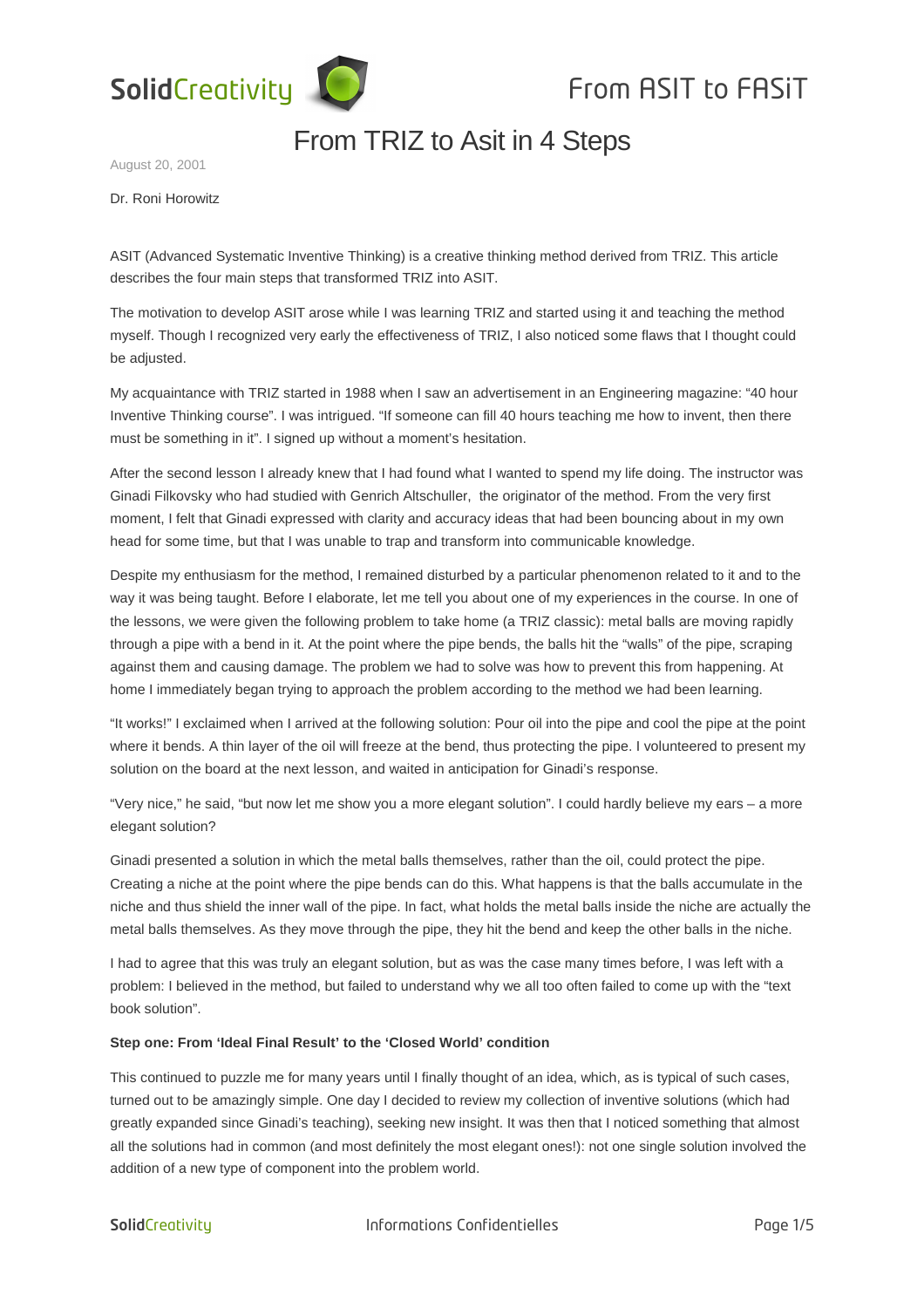

## From TRIZ to Asit in 4 Steps

August 20, 2001

Dr. Roni Horowitz

ASIT (Advanced Systematic Inventive Thinking) is a creative thinking method derived from TRIZ. This article describes the four main steps that transformed TRIZ into ASIT.

The motivation to develop ASIT arose while I was learning TRIZ and started using it and teaching the method myself. Though I recognized very early the effectiveness of TRIZ, I also noticed some flaws that I thought could be adjusted.

My acquaintance with TRIZ started in 1988 when I saw an advertisement in an Engineering magazine: "40 hour Inventive Thinking course". I was intrigued. "If someone can fill 40 hours teaching me how to invent, then there must be something in it". I signed up without a moment's hesitation.

After the second lesson I already knew that I had found what I wanted to spend my life doing. The instructor was Ginadi Filkovsky who had studied with Genrich Altschuller, the originator of the method. From the very first moment, I felt that Ginadi expressed with clarity and accuracy ideas that had been bouncing about in my own head for some time, but that I was unable to trap and transform into communicable knowledge.

Despite my enthusiasm for the method, I remained disturbed by a particular phenomenon related to it and to the way it was being taught. Before I elaborate, let me tell you about one of my experiences in the course. In one of the lessons, we were given the following problem to take home (a TRIZ classic): metal balls are moving rapidly through a pipe with a bend in it. At the point where the pipe bends, the balls hit the "walls" of the pipe, scraping against them and causing damage. The problem we had to solve was how to prevent this from happening. At home I immediately began trying to approach the problem according to the method we had been learning.

"It works!" I exclaimed when I arrived at the following solution: Pour oil into the pipe and cool the pipe at the point where it bends. A thin layer of the oil will freeze at the bend, thus protecting the pipe. I volunteered to present my solution on the board at the next lesson, and waited in anticipation for Ginadi's response.

"Very nice," he said, "but now let me show you a more elegant solution". I could hardly believe my ears – a more elegant solution?

Ginadi presented a solution in which the metal balls themselves, rather than the oil, could protect the pipe. Creating a niche at the point where the pipe bends can do this. What happens is that the balls accumulate in the niche and thus shield the inner wall of the pipe. In fact, what holds the metal balls inside the niche are actually the metal balls themselves. As they move through the pipe, they hit the bend and keep the other balls in the niche.

I had to agree that this was truly an elegant solution, but as was the case many times before, I was left with a problem: I believed in the method, but failed to understand why we all too often failed to come up with the "text book solution".

#### **Step one: From 'Ideal Final Result' to the 'Closed World' condition**

This continued to puzzle me for many years until I finally thought of an idea, which, as is typical of such cases, turned out to be amazingly simple. One day I decided to review my collection of inventive solutions (which had greatly expanded since Ginadi's teaching), seeking new insight. It was then that I noticed something that almost all the solutions had in common (and most definitely the most elegant ones!): not one single solution involved the addition of a new type of component into the problem world.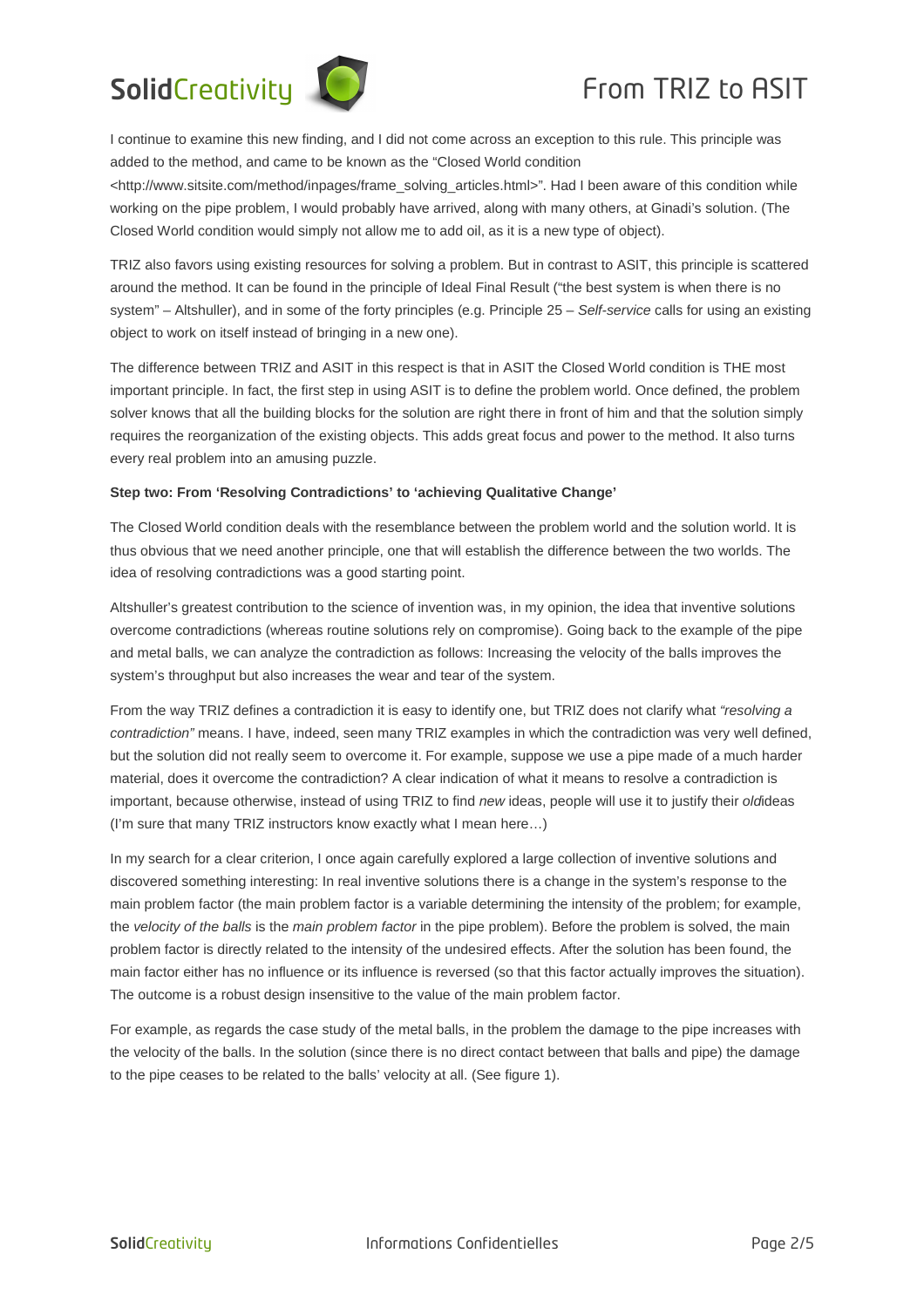## SolidCreativity  $\bigcirc$  From TRIZ to ASIT



I continue to examine this new finding, and I did not come across an exception to this rule. This principle was added to the method, and came to be known as the "Closed World condition

<http://www.sitsite.com/method/inpages/frame\_solving\_articles.html>". Had I been aware of this condition while working on the pipe problem, I would probably have arrived, along with many others, at Ginadi's solution. (The Closed World condition would simply not allow me to add oil, as it is a new type of object).

TRIZ also favors using existing resources for solving a problem. But in contrast to ASIT, this principle is scattered around the method. It can be found in the principle of Ideal Final Result ("the best system is when there is no system" – Altshuller), and in some of the forty principles (e.g. Principle 25 – Self-service calls for using an existing object to work on itself instead of bringing in a new one).

The difference between TRIZ and ASIT in this respect is that in ASIT the Closed World condition is THE most important principle. In fact, the first step in using ASIT is to define the problem world. Once defined, the problem solver knows that all the building blocks for the solution are right there in front of him and that the solution simply requires the reorganization of the existing objects. This adds great focus and power to the method. It also turns every real problem into an amusing puzzle.

## **Step two: From 'Resolving Contradictions' to 'achieving Qualitative Change'**

The Closed World condition deals with the resemblance between the problem world and the solution world. It is thus obvious that we need another principle, one that will establish the difference between the two worlds. The idea of resolving contradictions was a good starting point.

Altshuller's greatest contribution to the science of invention was, in my opinion, the idea that inventive solutions overcome contradictions (whereas routine solutions rely on compromise). Going back to the example of the pipe and metal balls, we can analyze the contradiction as follows: Increasing the velocity of the balls improves the system's throughput but also increases the wear and tear of the system.

From the way TRIZ defines a contradiction it is easy to identify one, but TRIZ does not clarify what "resolving a contradiction" means. I have, indeed, seen many TRIZ examples in which the contradiction was very well defined, but the solution did not really seem to overcome it. For example, suppose we use a pipe made of a much harder material, does it overcome the contradiction? A clear indication of what it means to resolve a contradiction is important, because otherwise, instead of using TRIZ to find new ideas, people will use it to justify their oldideas (I'm sure that many TRIZ instructors know exactly what I mean here…)

In my search for a clear criterion, I once again carefully explored a large collection of inventive solutions and discovered something interesting: In real inventive solutions there is a change in the system's response to the main problem factor (the main problem factor is a variable determining the intensity of the problem; for example, the velocity of the balls is the main problem factor in the pipe problem). Before the problem is solved, the main problem factor is directly related to the intensity of the undesired effects. After the solution has been found, the main factor either has no influence or its influence is reversed (so that this factor actually improves the situation). The outcome is a robust design insensitive to the value of the main problem factor.

For example, as regards the case study of the metal balls, in the problem the damage to the pipe increases with the velocity of the balls. In the solution (since there is no direct contact between that balls and pipe) the damage to the pipe ceases to be related to the balls' velocity at all. (See figure 1).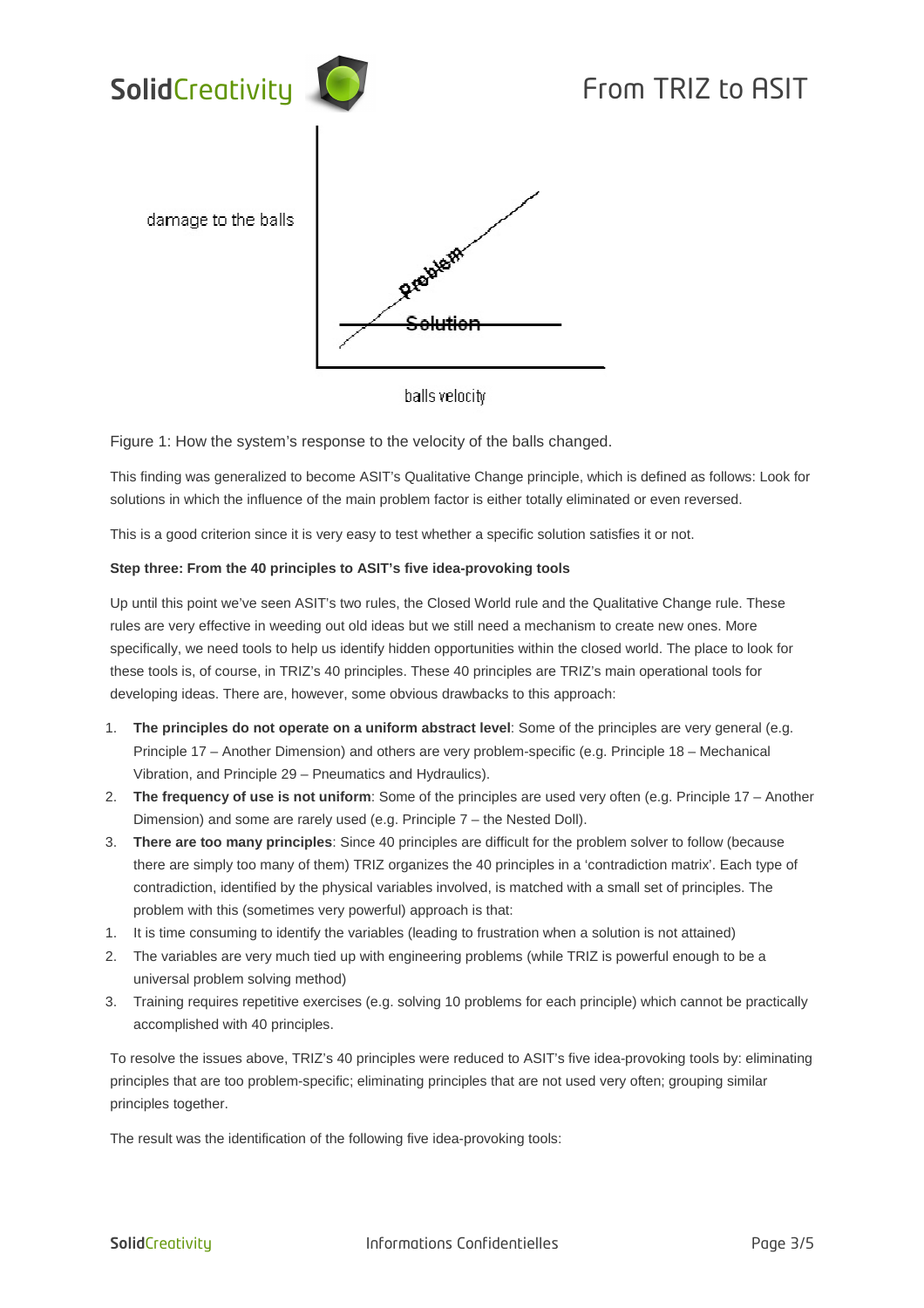

balls velocity

Figure 1: How the system's response to the velocity of the balls changed.

This finding was generalized to become ASIT's Qualitative Change principle, which is defined as follows: Look for solutions in which the influence of the main problem factor is either totally eliminated or even reversed.

This is a good criterion since it is very easy to test whether a specific solution satisfies it or not.

## **Step three: From the 40 principles to ASIT's five idea-provoking tools**

Up until this point we've seen ASIT's two rules, the Closed World rule and the Qualitative Change rule. These rules are very effective in weeding out old ideas but we still need a mechanism to create new ones. More specifically, we need tools to help us identify hidden opportunities within the closed world. The place to look for these tools is, of course, in TRIZ's 40 principles. These 40 principles are TRIZ's main operational tools for developing ideas. There are, however, some obvious drawbacks to this approach:

- 1. **The principles do not operate on a uniform abstract level**: Some of the principles are very general (e.g. Principle 17 – Another Dimension) and others are very problem-specific (e.g. Principle 18 – Mechanical Vibration, and Principle 29 – Pneumatics and Hydraulics).
- 2. **The frequency of use is not uniform**: Some of the principles are used very often (e.g. Principle 17 Another Dimension) and some are rarely used (e.g. Principle 7 – the Nested Doll).
- 3. **There are too many principles**: Since 40 principles are difficult for the problem solver to follow (because there are simply too many of them) TRIZ organizes the 40 principles in a 'contradiction matrix'. Each type of contradiction, identified by the physical variables involved, is matched with a small set of principles. The problem with this (sometimes very powerful) approach is that:
- 1. It is time consuming to identify the variables (leading to frustration when a solution is not attained)
- 2. The variables are very much tied up with engineering problems (while TRIZ is powerful enough to be a universal problem solving method)
- 3. Training requires repetitive exercises (e.g. solving 10 problems for each principle) which cannot be practically accomplished with 40 principles.

To resolve the issues above, TRIZ's 40 principles were reduced to ASIT's five idea-provoking tools by: eliminating principles that are too problem-specific; eliminating principles that are not used very often; grouping similar principles together.

The result was the identification of the following five idea-provoking tools: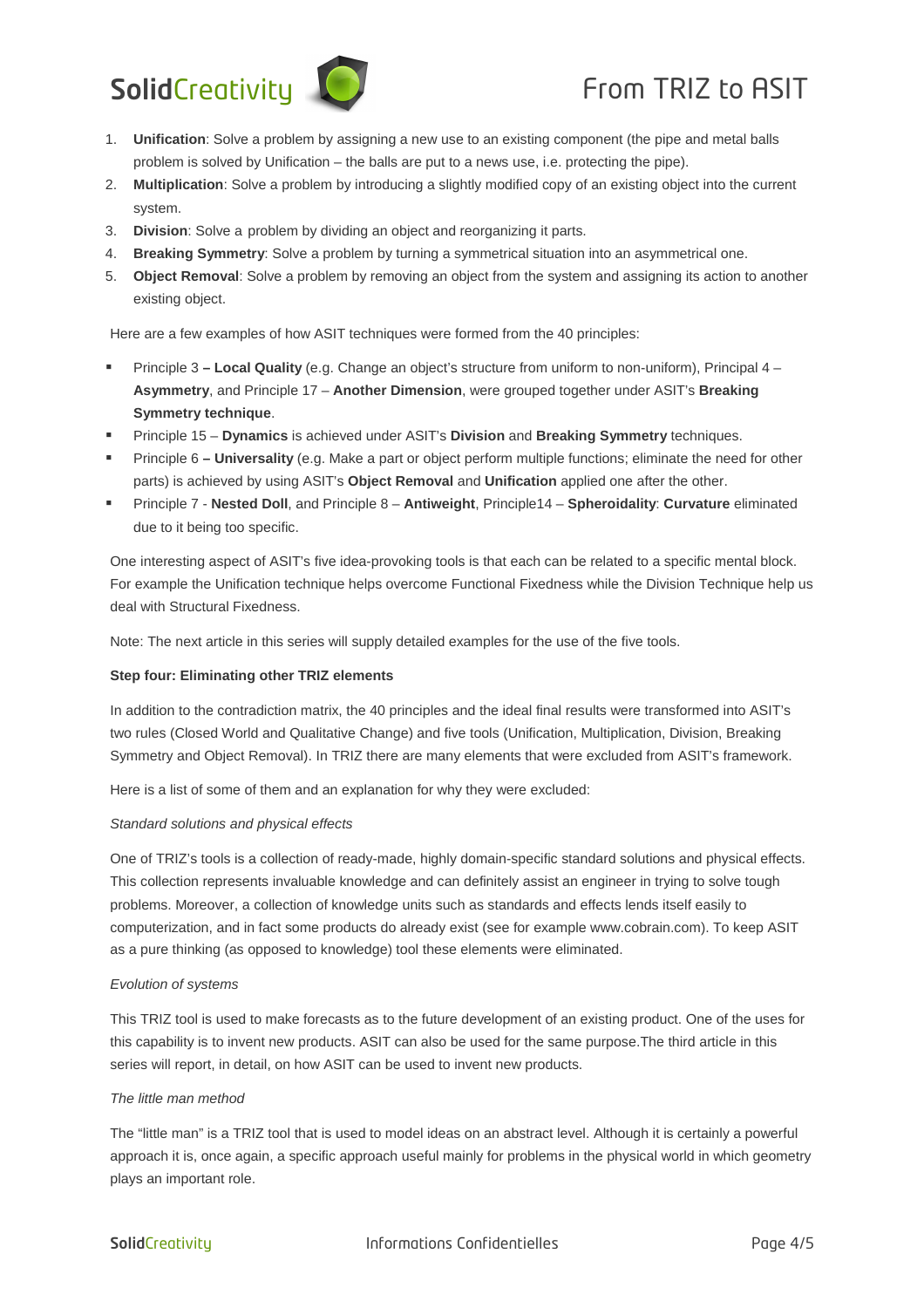# SolidCreativity **CO** From TRIZ to ASIT



- 1. **Unification**: Solve a problem by assigning a new use to an existing component (the pipe and metal balls problem is solved by Unification – the balls are put to a news use, i.e. protecting the pipe).
- 2. **Multiplication**: Solve a problem by introducing a slightly modified copy of an existing object into the current system.
- 3. **Division**: Solve a problem by dividing an object and reorganizing it parts.
- 4. **Breaking Symmetry**: Solve a problem by turning a symmetrical situation into an asymmetrical one.
- 5. **Object Removal**: Solve a problem by removing an object from the system and assigning its action to another existing object.

Here are a few examples of how ASIT techniques were formed from the 40 principles:

- Principle 3 **Local Quality** (e.g. Change an object's structure from uniform to non-uniform), Principal 4 **Asymmetry**, and Principle 17 – **Another Dimension**, were grouped together under ASIT's **Breaking Symmetry technique**.
- Principle 15 **Dynamics** is achieved under ASIT's **Division** and **Breaking Symmetry** techniques.
- Principle 6 **Universality** (e.g. Make a part or object perform multiple functions; eliminate the need for other parts) is achieved by using ASIT's **Object Removal** and **Unification** applied one after the other.
- Principle 7 - **Nested Doll**, and Principle 8 **Antiweight**, Principle14 **Spheroidality**: **Curvature** eliminated due to it being too specific.

One interesting aspect of ASIT's five idea-provoking tools is that each can be related to a specific mental block. For example the Unification technique helps overcome Functional Fixedness while the Division Technique help us deal with Structural Fixedness.

Note: The next article in this series will supply detailed examples for the use of the five tools.

## **Step four: Eliminating other TRIZ elements**

In addition to the contradiction matrix, the 40 principles and the ideal final results were transformed into ASIT's two rules (Closed World and Qualitative Change) and five tools (Unification, Multiplication, Division, Breaking Symmetry and Object Removal). In TRIZ there are many elements that were excluded from ASIT's framework.

Here is a list of some of them and an explanation for why they were excluded:

## Standard solutions and physical effects

One of TRIZ's tools is a collection of ready-made, highly domain-specific standard solutions and physical effects. This collection represents invaluable knowledge and can definitely assist an engineer in trying to solve tough problems. Moreover, a collection of knowledge units such as standards and effects lends itself easily to computerization, and in fact some products do already exist (see for example www.cobrain.com). To keep ASIT as a pure thinking (as opposed to knowledge) tool these elements were eliminated.

## Evolution of systems

This TRIZ tool is used to make forecasts as to the future development of an existing product. One of the uses for this capability is to invent new products. ASIT can also be used for the same purpose.The third article in this series will report, in detail, on how ASIT can be used to invent new products.

## The little man method

The "little man" is a TRIZ tool that is used to model ideas on an abstract level. Although it is certainly a powerful approach it is, once again, a specific approach useful mainly for problems in the physical world in which geometry plays an important role.